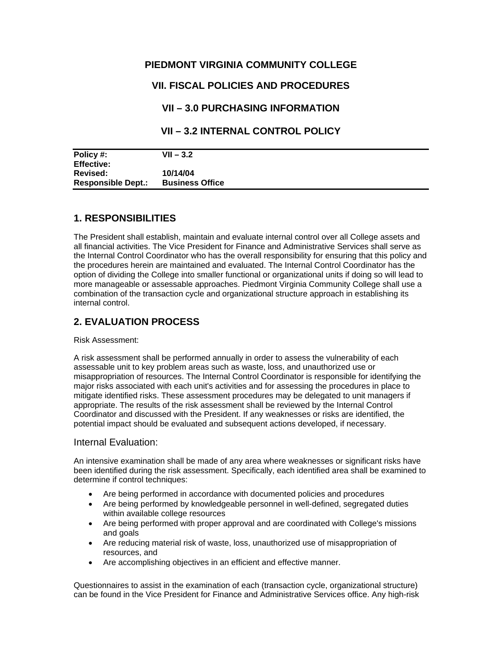### **PIEDMONT VIRGINIA COMMUNITY COLLEGE**

# **VII. FISCAL POLICIES AND PROCEDURES**

### **VII – 3.0 PURCHASING INFORMATION**

### **VII – 3.2 INTERNAL CONTROL POLICY**

| Policy #:                 | $VII - 3.2$            |  |
|---------------------------|------------------------|--|
| <b>Effective:</b>         |                        |  |
| <b>Revised:</b>           | 10/14/04               |  |
| <b>Responsible Dept.:</b> | <b>Business Office</b> |  |
|                           |                        |  |

### **1. RESPONSIBILITIES**

The President shall establish, maintain and evaluate internal control over all College assets and all financial activities. The Vice President for Finance and Administrative Services shall serve as the Internal Control Coordinator who has the overall responsibility for ensuring that this policy and the procedures herein are maintained and evaluated. The Internal Control Coordinator has the option of dividing the College into smaller functional or organizational units if doing so will lead to more manageable or assessable approaches. Piedmont Virginia Community College shall use a combination of the transaction cycle and organizational structure approach in establishing its internal control.

# **2. EVALUATION PROCESS**

#### Risk Assessment:

A risk assessment shall be performed annually in order to assess the vulnerability of each assessable unit to key problem areas such as waste, loss, and unauthorized use or misappropriation of resources. The Internal Control Coordinator is responsible for identifying the major risks associated with each unit's activities and for assessing the procedures in place to mitigate identified risks. These assessment procedures may be delegated to unit managers if appropriate. The results of the risk assessment shall be reviewed by the Internal Control Coordinator and discussed with the President. If any weaknesses or risks are identified, the potential impact should be evaluated and subsequent actions developed, if necessary.

#### Internal Evaluation:

An intensive examination shall be made of any area where weaknesses or significant risks have been identified during the risk assessment. Specifically, each identified area shall be examined to determine if control techniques:

- Are being performed in accordance with documented policies and procedures
- Are being performed by knowledgeable personnel in well-defined, segregated duties within available college resources
- Are being performed with proper approval and are coordinated with College's missions and goals
- Are reducing material risk of waste, loss, unauthorized use of misappropriation of resources, and
- Are accomplishing objectives in an efficient and effective manner.

Questionnaires to assist in the examination of each (transaction cycle, organizational structure) can be found in the Vice President for Finance and Administrative Services office. Any high-risk